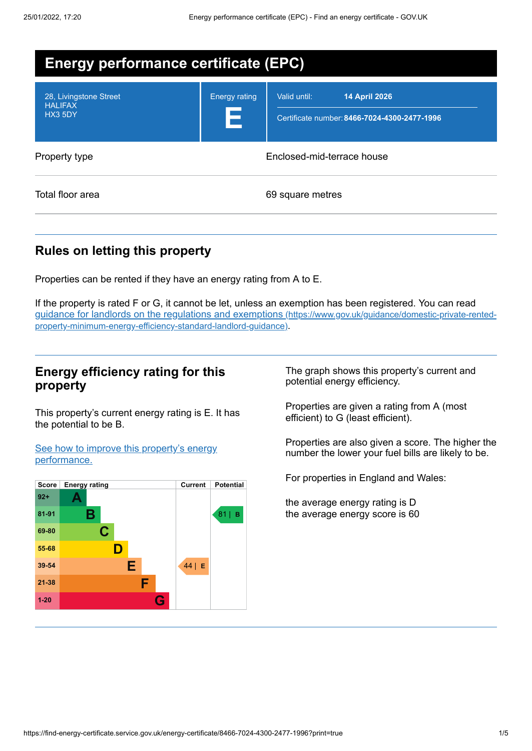| <b>Energy performance certificate (EPC)</b>         |                            |                                                                                      |  |
|-----------------------------------------------------|----------------------------|--------------------------------------------------------------------------------------|--|
| 28, Livingstone Street<br><b>HALIFAX</b><br>HX3 5DY | <b>Energy rating</b><br>Е  | Valid until:<br><b>14 April 2026</b><br>Certificate number: 8466-7024-4300-2477-1996 |  |
| Property type                                       | Enclosed-mid-terrace house |                                                                                      |  |
| Total floor area                                    |                            | 69 square metres                                                                     |  |

# **Rules on letting this property**

Properties can be rented if they have an energy rating from A to E.

If the property is rated F or G, it cannot be let, unless an exemption has been registered. You can read guidance for landlords on the regulations and exemptions (https://www.gov.uk/guidance/domestic-private-rented[property-minimum-energy-efficiency-standard-landlord-guidance\)](https://www.gov.uk/guidance/domestic-private-rented-property-minimum-energy-efficiency-standard-landlord-guidance).

## **Energy efficiency rating for this property**

This property's current energy rating is E. It has the potential to be B.

See how to improve this property's energy [performance.](#page-2-0)



The graph shows this property's current and potential energy efficiency.

Properties are given a rating from A (most efficient) to G (least efficient).

Properties are also given a score. The higher the number the lower your fuel bills are likely to be.

For properties in England and Wales:

the average energy rating is D the average energy score is 60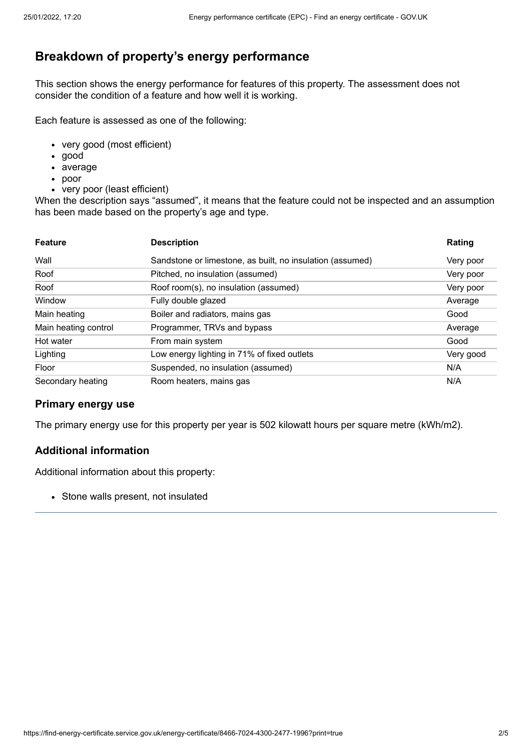# **Breakdown of property's energy performance**

This section shows the energy performance for features of this property. The assessment does not consider the condition of a feature and how well it is working.

Each feature is assessed as one of the following:

- very good (most efficient)
- good
- average
- poor
- very poor (least efficient)

When the description says "assumed", it means that the feature could not be inspected and an assumption has been made based on the property's age and type.

| <b>Feature</b>       | <b>Description</b>                                        | Rating    |
|----------------------|-----------------------------------------------------------|-----------|
| Wall                 | Sandstone or limestone, as built, no insulation (assumed) | Very poor |
| Roof                 | Pitched, no insulation (assumed)                          | Very poor |
| Roof                 | Roof room(s), no insulation (assumed)                     | Very poor |
| Window               | Fully double glazed                                       | Average   |
| Main heating         | Boiler and radiators, mains gas                           | Good      |
| Main heating control | Programmer, TRVs and bypass                               | Average   |
| Hot water            | From main system                                          | Good      |
| Lighting             | Low energy lighting in 71% of fixed outlets               | Very good |
| Floor                | Suspended, no insulation (assumed)                        | N/A       |
| Secondary heating    | Room heaters, mains gas                                   | N/A       |

#### **Primary energy use**

The primary energy use for this property per year is 502 kilowatt hours per square metre (kWh/m2).

#### **Additional information**

Additional information about this property:

• Stone walls present, not insulated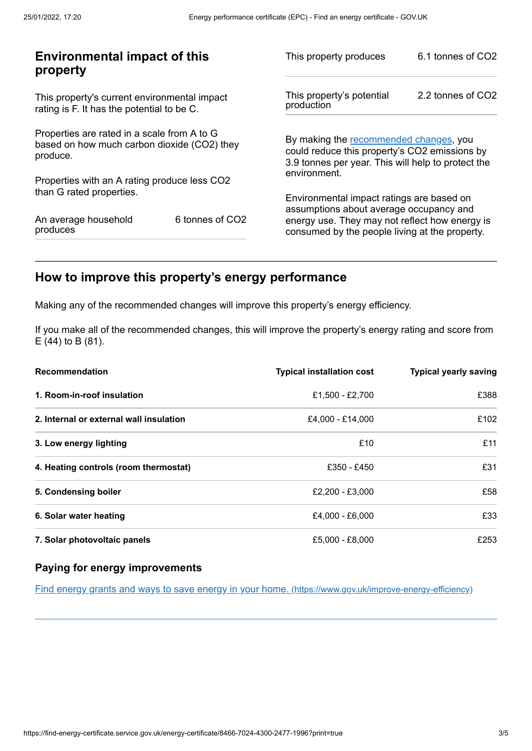| <b>Environmental impact of this</b><br>property                                                        |                 | This property produces                                                                                                                        | 6.1 tonnes of CO2 |
|--------------------------------------------------------------------------------------------------------|-----------------|-----------------------------------------------------------------------------------------------------------------------------------------------|-------------------|
| This property's current environmental impact<br>rating is F. It has the potential to be C.             |                 | This property's potential<br>production                                                                                                       | 2.2 tonnes of CO2 |
| Properties are rated in a scale from A to G<br>based on how much carbon dioxide (CO2) they<br>produce. |                 | By making the recommended changes, you<br>could reduce this property's CO2 emissions by<br>3.9 tonnes per year. This will help to protect the |                   |
| Properties with an A rating produce less CO2                                                           |                 | environment.                                                                                                                                  |                   |
| than G rated properties.                                                                               |                 | Environmental impact ratings are based on<br>assumptions about average occupancy and                                                          |                   |
| An average household<br>produces                                                                       | 6 tonnes of CO2 | energy use. They may not reflect how energy is<br>consumed by the people living at the property.                                              |                   |
|                                                                                                        |                 |                                                                                                                                               |                   |

# <span id="page-2-0"></span>**How to improve this property's energy performance**

Making any of the recommended changes will improve this property's energy efficiency.

If you make all of the recommended changes, this will improve the property's energy rating and score from E (44) to B (81).

| <b>Recommendation</b>                   | <b>Typical installation cost</b> | <b>Typical yearly saving</b> |
|-----------------------------------------|----------------------------------|------------------------------|
| 1. Room-in-roof insulation              | £1,500 - £2,700                  | £388                         |
| 2. Internal or external wall insulation | £4,000 - £14,000                 | £102                         |
| 3. Low energy lighting                  | £10                              | £11                          |
| 4. Heating controls (room thermostat)   | £350 - £450                      | £31                          |
| 5. Condensing boiler                    | £2,200 - £3,000                  | £58                          |
| 6. Solar water heating                  | £4.000 - £6.000                  | £33                          |
| 7. Solar photovoltaic panels            | £5.000 - £8.000                  | £253                         |

## **Paying for energy improvements**

Find energy grants and ways to save energy in your home. [\(https://www.gov.uk/improve-energy-efficiency\)](https://www.gov.uk/improve-energy-efficiency)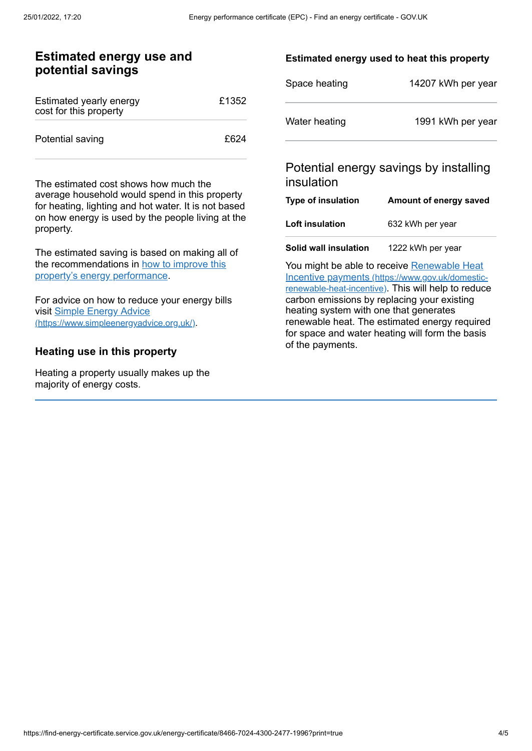## **Estimated energy use and potential savings**

| Estimated yearly energy<br>cost for this property | £1352 |
|---------------------------------------------------|-------|
| Potential saving                                  | £624  |

The estimated cost shows how much the average household would spend in this property for heating, lighting and hot water. It is not based on how energy is used by the people living at the property.

The estimated saving is based on making all of the [recommendations](#page-2-0) in how to improve this property's energy performance.

For advice on how to reduce your energy bills visit Simple Energy Advice [\(https://www.simpleenergyadvice.org.uk/\)](https://www.simpleenergyadvice.org.uk/).

#### **Heating use in this property**

Heating a property usually makes up the majority of energy costs.

#### **Estimated energy used to heat this property**

| Space heating | 14207 kWh per year |
|---------------|--------------------|
| Water heating | 1991 kWh per year  |

## Potential energy savings by installing insulation

| Type of insulation     | Amount of energy saved |
|------------------------|------------------------|
| <b>Loft insulation</b> | 632 kWh per year       |
| Solid wall insulation  | 1222 kWh per year      |

You might be able to receive Renewable Heat Incentive payments [\(https://www.gov.uk/domestic](https://www.gov.uk/domestic-renewable-heat-incentive)renewable-heat-incentive). This will help to reduce carbon emissions by replacing your existing heating system with one that generates renewable heat. The estimated energy required for space and water heating will form the basis of the payments.